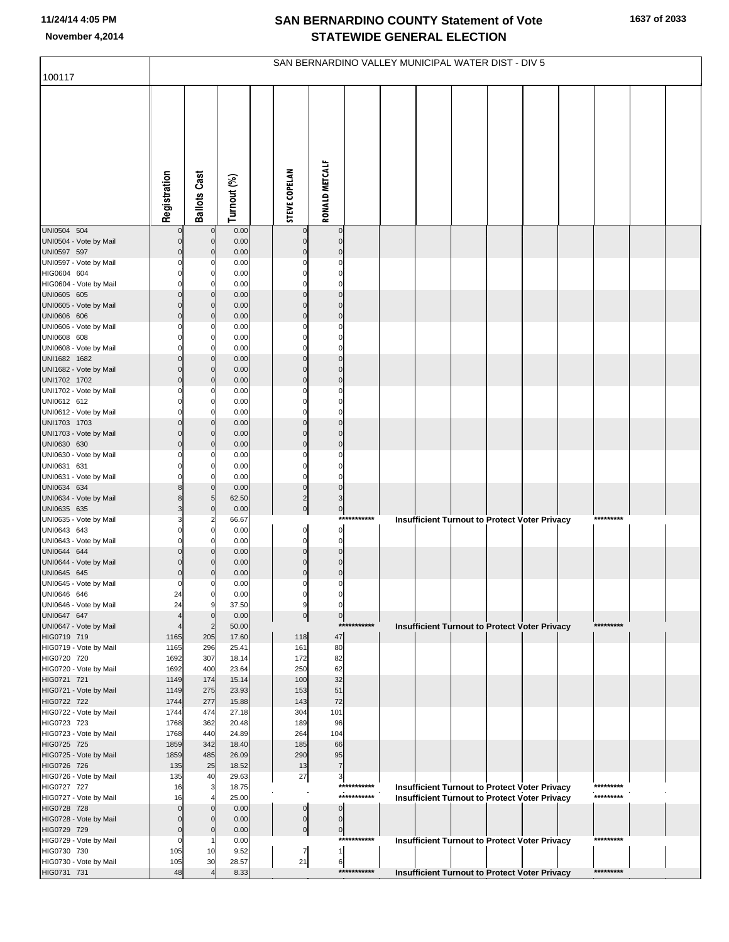| 100117                                 | SAN BERNARDINO VALLEY MUNICIPAL WATER DIST - DIV 5 |                               |                |                            |                            |                            |  |  |  |  |                                                                                                              |  |                        |  |
|----------------------------------------|----------------------------------------------------|-------------------------------|----------------|----------------------------|----------------------------|----------------------------|--|--|--|--|--------------------------------------------------------------------------------------------------------------|--|------------------------|--|
|                                        |                                                    |                               |                |                            |                            |                            |  |  |  |  |                                                                                                              |  |                        |  |
|                                        | Registration                                       | <b>Ballots Cast</b>           | Turnout (%)    | <b>STEVE COPELAN</b>       | RONALD METCALF             |                            |  |  |  |  |                                                                                                              |  |                        |  |
| UNI0504 504<br>UNI0504 - Vote by Mail  | 0                                                  | $\mathbf 0$<br>$\overline{0}$ | 0.00<br>0.00   | $\mathbf 0$<br>$\mathbf 0$ | $\mathbf 0$<br>$\mathbf 0$ |                            |  |  |  |  |                                                                                                              |  |                        |  |
| UNI0597 597                            | $\mathbf 0$                                        | $\overline{0}$                | 0.00           | $\mathbf 0$                | $\mathbf 0$                |                            |  |  |  |  |                                                                                                              |  |                        |  |
| UNI0597 - Vote by Mail<br>HIG0604 604  | 0<br>0                                             | 0<br>0                        | 0.00<br>0.00   | $\mathbf 0$<br>$\mathbf 0$ | $\mathbf 0$<br>$\mathbf 0$ |                            |  |  |  |  |                                                                                                              |  |                        |  |
| HIG0604 - Vote by Mail                 | $\Omega$                                           | 0                             | 0.00           | $\mathbf 0$                | $\mathbf 0$                |                            |  |  |  |  |                                                                                                              |  |                        |  |
| UNI0605 605                            | $\mathbf 0$                                        | $\mathbf 0$                   | 0.00           | $\mathbf 0$                | $\mathbf 0$                |                            |  |  |  |  |                                                                                                              |  |                        |  |
| UNI0605 - Vote by Mail<br>UNI0606 606  | 0<br>$\mathbf 0$                                   | $\mathbf 0$<br>$\mathbf 0$    | 0.00<br>0.00   | $\mathbf 0$<br>$\mathbf 0$ | $\mathbf 0$<br>$\mathbf 0$ |                            |  |  |  |  |                                                                                                              |  |                        |  |
| UNI0606 - Vote by Mail                 | 0                                                  | 0                             | 0.00           | $\mathbf 0$                | $\mathbf 0$                |                            |  |  |  |  |                                                                                                              |  |                        |  |
| UNI0608 608                            | 0                                                  | 0                             | 0.00           | $\mathbf 0$                | $\mathbf 0$                |                            |  |  |  |  |                                                                                                              |  |                        |  |
| UNI0608 - Vote by Mail<br>UNI1682 1682 | 0<br>0                                             | 0<br>$\mathbf 0$              | 0.00<br>0.00   | $\mathbf 0$<br>$\mathbf 0$ | $\mathbf 0$<br>$\mathbf 0$ |                            |  |  |  |  |                                                                                                              |  |                        |  |
| UNI1682 - Vote by Mail                 | $\mathbf 0$                                        | $\mathbf 0$                   | 0.00           | $\mathbf 0$                | $\mathbf 0$                |                            |  |  |  |  |                                                                                                              |  |                        |  |
| UNI1702 1702                           | $\mathbf 0$                                        | $\mathbf 0$                   | 0.00           | $\mathbf 0$                | $\mathbf 0$                |                            |  |  |  |  |                                                                                                              |  |                        |  |
| UNI1702 - Vote by Mail<br>UNI0612 612  | 0<br>0                                             | 0<br>0                        | 0.00<br>0.00   | $\mathbf 0$<br>$\mathbf 0$ | $\mathbf 0$<br>$\mathbf 0$ |                            |  |  |  |  |                                                                                                              |  |                        |  |
| UNI0612 - Vote by Mail                 | 0                                                  | $\Omega$                      | 0.00           | $\mathbf 0$                | $\mathbf 0$                |                            |  |  |  |  |                                                                                                              |  |                        |  |
| UNI1703 1703<br>UNI1703 - Vote by Mail | $\mathbf 0$<br>$\mathbf 0$                         | $\mathbf 0$<br>$\mathbf 0$    | 0.00<br>0.00   | $\mathbf 0$<br>$\mathbf 0$ | $\mathbf 0$<br>$\mathbf 0$ |                            |  |  |  |  |                                                                                                              |  |                        |  |
| UNI0630 630                            | $\mathbf 0$                                        | $\mathbf 0$                   | 0.00           | $\mathbf 0$                | $\mathbf 0$                |                            |  |  |  |  |                                                                                                              |  |                        |  |
| UNI0630 - Vote by Mail                 | 0                                                  | 0                             | 0.00           | $\mathbf 0$                | $\mathbf 0$                |                            |  |  |  |  |                                                                                                              |  |                        |  |
| UNI0631 631<br>UNI0631 - Vote by Mail  | 0<br>0                                             | 0<br>0                        | 0.00<br>0.00   | $\mathbf 0$<br>$\mathbf 0$ | $\mathbf 0$<br>$\mathbf 0$ |                            |  |  |  |  |                                                                                                              |  |                        |  |
| UNI0634 634                            | 8                                                  | $\overline{0}$                | 0.00           | $\mathbf 0$                | $\mathbf 0$                |                            |  |  |  |  |                                                                                                              |  |                        |  |
| UNI0634 - Vote by Mail                 | 8                                                  | 5                             | 62.50          | $\overline{c}$             | 3                          |                            |  |  |  |  |                                                                                                              |  |                        |  |
| UNI0635 635<br>UNI0635 - Vote by Mail  | 3<br>3                                             | $\mathbf 0$<br>$\overline{2}$ | 0.00<br>66.67  | $\overline{0}$             | $\mathbf{0}$               | ***********                |  |  |  |  | <b>Insufficient Turnout to Protect Voter Privacy</b>                                                         |  | *********              |  |
| UNI0643 643                            | 0                                                  | 0                             | 0.00           | $\mathbf{0}$               | $\pmb{0}$                  |                            |  |  |  |  |                                                                                                              |  |                        |  |
| UNI0643 - Vote by Mail                 | 0                                                  | 0                             | 0.00           | $\mathbf 0$                | $\mathbf 0$                |                            |  |  |  |  |                                                                                                              |  |                        |  |
| UNI0644 644<br>UNI0644 - Vote by Mail  | $\mathbf 0$<br>$\mathbf 0$                         | $\mathbf 0$<br>$\Omega$       | 0.00<br>0.00   | $\mathbf 0$<br>$\mathbf 0$ | $\mathbf 0$<br>$\mathbf 0$ |                            |  |  |  |  |                                                                                                              |  |                        |  |
| UNI0645 645                            | $\mathbf 0$                                        | 0                             | 0.00           | $\mathbf 0$                | $\mathbf 0$                |                            |  |  |  |  |                                                                                                              |  |                        |  |
| UNI0645 - Vote by Mail                 | 0                                                  | 0                             | 0.00           | $\mathbf 0$                | 0                          |                            |  |  |  |  |                                                                                                              |  |                        |  |
| UNI0646 646<br>UNI0646 - Vote by Mail  | 24<br>24                                           | 0<br>9                        | 0.00<br>37.50  | 0<br>9                     | 0                          |                            |  |  |  |  |                                                                                                              |  |                        |  |
| UNI0647 647                            |                                                    | $\mathbf 0$                   | 0.00           | $\overline{0}$             | $\mathbf 0$                |                            |  |  |  |  |                                                                                                              |  |                        |  |
| UNI0647 - Vote by Mail<br>HIG0719 719  | 1165                                               | $\overline{2}$<br>205         | 50.00<br>17.60 | 118                        | 47                         | ***********                |  |  |  |  | <b>Insufficient Turnout to Protect Voter Privacy</b>                                                         |  | *********              |  |
| HIG0719 - Vote by Mail                 | 1165                                               | 296                           | 25.41          | 161                        | 80                         |                            |  |  |  |  |                                                                                                              |  |                        |  |
| HIG0720 720                            | 1692                                               | 307                           | 18.14          | 172                        | 82                         |                            |  |  |  |  |                                                                                                              |  |                        |  |
| HIG0720 - Vote by Mail<br>HIG0721 721  | 1692<br>1149                                       | 400<br>174                    | 23.64<br>15.14 | 250<br>100                 | 62<br>32                   |                            |  |  |  |  |                                                                                                              |  |                        |  |
| HIG0721 - Vote by Mail                 | 1149                                               | 275                           | 23.93          | 153                        | 51                         |                            |  |  |  |  |                                                                                                              |  |                        |  |
| HIG0722 722                            | 1744                                               | 277                           | 15.88          | 143                        | 72                         |                            |  |  |  |  |                                                                                                              |  |                        |  |
| HIG0722 - Vote by Mail<br>HIG0723 723  | 1744<br>1768                                       | 474<br>362                    | 27.18<br>20.48 | 304<br>189                 | 101<br>96                  |                            |  |  |  |  |                                                                                                              |  |                        |  |
| HIG0723 - Vote by Mail                 | 1768                                               | 440                           | 24.89          | 264                        | 104                        |                            |  |  |  |  |                                                                                                              |  |                        |  |
| HIG0725 725<br>HIG0725 - Vote by Mail  | 1859<br>1859                                       | 342<br>485                    | 18.40<br>26.09 | 185<br>290                 | 66<br>95                   |                            |  |  |  |  |                                                                                                              |  |                        |  |
| HIG0726 726                            | 135                                                | 25                            | 18.52          | 13                         | $\overline{7}$             |                            |  |  |  |  |                                                                                                              |  |                        |  |
| HIG0726 - Vote by Mail                 | 135                                                | 40                            | 29.63          | 27                         | 3                          |                            |  |  |  |  |                                                                                                              |  |                        |  |
| HIG0727 727<br>HIG0727 - Vote by Mail  | 16<br>16                                           | 3                             | 18.75<br>25.00 |                            |                            | ***********<br>*********** |  |  |  |  | <b>Insufficient Turnout to Protect Voter Privacy</b><br><b>Insufficient Turnout to Protect Voter Privacy</b> |  | *********<br>********* |  |
| HIG0728 728                            | $\mathbf 0$                                        | $\mathbf 0$                   | 0.00           | $\pmb{0}$                  | $\mathbf 0$                |                            |  |  |  |  |                                                                                                              |  |                        |  |
| HIG0728 - Vote by Mail                 | $\Omega$                                           | $\Omega$                      | 0.00           | $\overline{0}$             | $\mathbf 0$                |                            |  |  |  |  |                                                                                                              |  |                        |  |
| HIG0729 729<br>HIG0729 - Vote by Mail  | $\mathbf 0$<br>$\Omega$                            | $\mathbf 0$                   | 0.00<br>0.00   | $\overline{0}$             | $\mathbf{0}$               | ***********                |  |  |  |  | <b>Insufficient Turnout to Protect Voter Privacy</b>                                                         |  | *********              |  |
| HIG0730 730                            | 105                                                | 10                            | 9.52           | $\overline{7}$             | $\mathbf{1}$               |                            |  |  |  |  |                                                                                                              |  |                        |  |
| HIG0730 - Vote by Mail<br>HIG0731 731  | 105<br>48                                          | 30                            | 28.57<br>8.33  | 21                         | 6                          | ***********                |  |  |  |  | Insufficient Turnout to Protect Voter Privacy                                                                |  | *********              |  |
|                                        |                                                    |                               |                |                            |                            |                            |  |  |  |  |                                                                                                              |  |                        |  |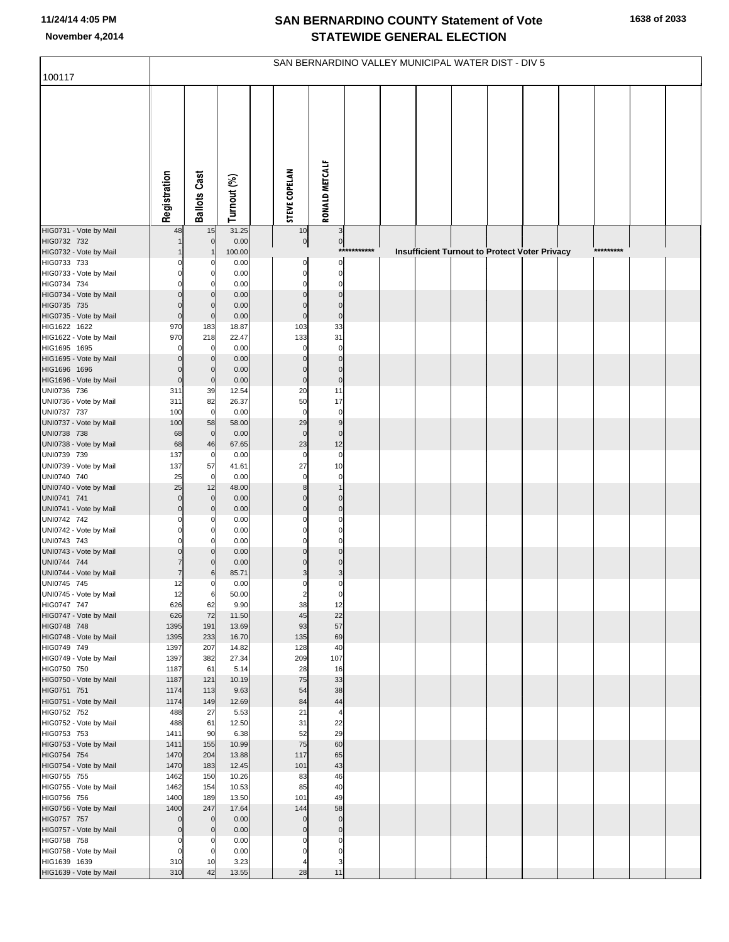|                                        | SAN BERNARDINO VALLEY MUNICIPAL WATER DIST - DIV 5 |                                |                |  |                       |                                 |             |  |  |  |  |                                               |  |           |  |  |
|----------------------------------------|----------------------------------------------------|--------------------------------|----------------|--|-----------------------|---------------------------------|-------------|--|--|--|--|-----------------------------------------------|--|-----------|--|--|
| 100117                                 |                                                    |                                |                |  |                       |                                 |             |  |  |  |  |                                               |  |           |  |  |
|                                        | Registration                                       | <b>Ballots Cast</b>            | Turnout (%)    |  | <b>STEVE COPELAN</b>  | <b>RONALD METCALF</b>           |             |  |  |  |  |                                               |  |           |  |  |
| HIG0731 - Vote by Mail                 | 48                                                 | 15                             | 31.25          |  | 10                    | 3                               |             |  |  |  |  |                                               |  |           |  |  |
| HIG0732 732                            |                                                    | $\mathbf 0$                    | 0.00           |  | $\overline{0}$        | $\circ$                         | *********** |  |  |  |  |                                               |  | ********* |  |  |
| HIG0732 - Vote by Mail<br>HIG0733 733  | $\Omega$                                           | 0                              | 100.00<br>0.00 |  | $\mathbf 0$           | 0                               |             |  |  |  |  | Insufficient Turnout to Protect Voter Privacy |  |           |  |  |
| HIG0733 - Vote by Mail                 | $\Omega$                                           | $\mathbf 0$                    | 0.00           |  | $\mathbf 0$           | $\mathbf 0$                     |             |  |  |  |  |                                               |  |           |  |  |
| HIG0734 734                            | $\Omega$                                           | $\mathbf 0$                    | 0.00           |  | $\Omega$              | $\mathbf 0$                     |             |  |  |  |  |                                               |  |           |  |  |
| HIG0734 - Vote by Mail                 | $\Omega$                                           | $\mathbf{0}$                   | 0.00           |  | $\Omega$              | $\mathbf 0$                     |             |  |  |  |  |                                               |  |           |  |  |
| HIG0735 735<br>HIG0735 - Vote by Mail  | $\mathbf 0$<br>$\overline{0}$                      | $\mathbf 0$<br>$\overline{0}$  | 0.00<br>0.00   |  | $\Omega$<br>$\pmb{0}$ | $\mathbf 0$<br>$\mathbf 0$      |             |  |  |  |  |                                               |  |           |  |  |
| HIG1622 1622                           | 970                                                | 183                            | 18.87          |  | 103                   | 33                              |             |  |  |  |  |                                               |  |           |  |  |
| HIG1622 - Vote by Mail                 | 970                                                | 218                            | 22.47          |  | 133                   | 31                              |             |  |  |  |  |                                               |  |           |  |  |
| HIG1695 1695                           | O                                                  | $\mathbf 0$                    | 0.00           |  | $\mathbf 0$           | $\mathbf 0$                     |             |  |  |  |  |                                               |  |           |  |  |
| HIG1695 - Vote by Mail<br>HIG1696 1696 | $\Omega$<br>$\mathbf 0$                            | $\mathbf{0}$<br>$\overline{0}$ | 0.00<br>0.00   |  | $\Omega$<br>$\Omega$  | $\mathbf 0$<br>$\mathbf 0$      |             |  |  |  |  |                                               |  |           |  |  |
| HIG1696 - Vote by Mail                 | $\overline{0}$                                     | $\overline{0}$                 | 0.00           |  | $\pmb{0}$             | $\mathbf 0$                     |             |  |  |  |  |                                               |  |           |  |  |
| UNI0736 736                            | 311                                                | 39                             | 12.54          |  | 20                    | 11                              |             |  |  |  |  |                                               |  |           |  |  |
| UNI0736 - Vote by Mail                 | 311                                                | 82                             | 26.37          |  | 50                    | 17                              |             |  |  |  |  |                                               |  |           |  |  |
| UNI0737 737                            | 100<br>100                                         | $\overline{0}$                 | 0.00<br>58.00  |  | $\mathbf 0$<br>29     | $\mathbf 0$<br>$\boldsymbol{9}$ |             |  |  |  |  |                                               |  |           |  |  |
| UNI0737 - Vote by Mail<br>UNI0738 738  | 68                                                 | 58<br>$\mathbf 0$              | 0.00           |  | $\mathbf 0$           | $\mathbf 0$                     |             |  |  |  |  |                                               |  |           |  |  |
| UNI0738 - Vote by Mail                 | 68                                                 | 46                             | 67.65          |  | 23                    | 12                              |             |  |  |  |  |                                               |  |           |  |  |
| UNI0739 739                            | 137                                                | $\overline{0}$                 | 0.00           |  | $\mathbf 0$           | $\mathbf 0$                     |             |  |  |  |  |                                               |  |           |  |  |
| UNI0739 - Vote by Mail<br>UNI0740 740  | 137                                                | 57<br>$\mathbf 0$              | 41.61          |  | 27<br>$\mathbf 0$     | 10<br>$\mathbf 0$               |             |  |  |  |  |                                               |  |           |  |  |
| UNI0740 - Vote by Mail                 | 25<br>25                                           | 12                             | 0.00<br>48.00  |  | 8                     | $\mathbf{1}$                    |             |  |  |  |  |                                               |  |           |  |  |
| UNI0741 741                            | $\mathbf 0$                                        | $\mathbf{0}$                   | 0.00           |  | $\Omega$              | $\mathbf 0$                     |             |  |  |  |  |                                               |  |           |  |  |
| UNI0741 - Vote by Mail                 | $\overline{0}$                                     | $\mathbf{0}$                   | 0.00           |  | $\mathbf 0$           | $\mathbf 0$                     |             |  |  |  |  |                                               |  |           |  |  |
| UNI0742 742<br>UNI0742 - Vote by Mail  | 0<br>$\Omega$                                      | $\Omega$<br>$\overline{0}$     | 0.00           |  | $\Omega$<br>$\Omega$  | $\mathbf 0$<br>$\mathbf 0$      |             |  |  |  |  |                                               |  |           |  |  |
| UNI0743 743                            | $\Omega$                                           | $\mathbf 0$                    | 0.00<br>0.00   |  | $\Omega$              | $\mathbf 0$                     |             |  |  |  |  |                                               |  |           |  |  |
| UNI0743 - Vote by Mail                 | $\overline{0}$                                     | $\mathbf{0}$                   | 0.00           |  | $\Omega$              | $\mathbf 0$                     |             |  |  |  |  |                                               |  |           |  |  |
| UNI0744 744                            | 7                                                  | $\mathbf 0$                    | 0.00           |  | $\Omega$              | $\mathbf 0$                     |             |  |  |  |  |                                               |  |           |  |  |
| UNI0744 - Vote by Mail                 | $\overline{7}$                                     | 6                              | 85.71          |  | 3<br>$\Omega$         | 3                               |             |  |  |  |  |                                               |  |           |  |  |
| UNI0745 745<br>UNI0745 - Vote by Mail  | 12<br>12                                           | $\mathbf 0$<br>6               | 0.00<br>50.00  |  | $\overline{2}$        | 0<br>$\mathbf 0$                |             |  |  |  |  |                                               |  |           |  |  |
| HIG0747 747                            | 626                                                | 62                             | 9.90           |  | 38                    | 12                              |             |  |  |  |  |                                               |  |           |  |  |
| HIG0747 - Vote by Mail                 | 626                                                | 72                             | 11.50          |  | 45                    | 22                              |             |  |  |  |  |                                               |  |           |  |  |
| HIG0748 748<br>HIG0748 - Vote by Mail  | 1395<br>1395                                       | 191<br>233                     | 13.69<br>16.70 |  | 93<br>135             | 57<br>69                        |             |  |  |  |  |                                               |  |           |  |  |
| HIG0749 749                            | 1397                                               | 207                            | 14.82          |  | 128                   | 40                              |             |  |  |  |  |                                               |  |           |  |  |
| HIG0749 - Vote by Mail                 | 1397                                               | 382                            | 27.34          |  | 209                   | 107                             |             |  |  |  |  |                                               |  |           |  |  |
| HIG0750 750                            | 1187                                               | 61                             | 5.14           |  | 28                    | 16                              |             |  |  |  |  |                                               |  |           |  |  |
| HIG0750 - Vote by Mail<br>HIG0751 751  | 1187<br>1174                                       | 121<br>113                     | 10.19<br>9.63  |  | 75<br>54              | 33<br>38                        |             |  |  |  |  |                                               |  |           |  |  |
| HIG0751 - Vote by Mail                 | 1174                                               | 149                            | 12.69          |  | 84                    | 44                              |             |  |  |  |  |                                               |  |           |  |  |
| HIG0752 752                            | 488                                                | 27                             | 5.53           |  | 21                    | $\overline{4}$                  |             |  |  |  |  |                                               |  |           |  |  |
| HIG0752 - Vote by Mail                 | 488                                                | 61                             | 12.50          |  | 31                    | 22                              |             |  |  |  |  |                                               |  |           |  |  |
| HIG0753 753<br>HIG0753 - Vote by Mail  | 1411<br>1411                                       | 90<br>155                      | 6.38<br>10.99  |  | 52<br>75              | 29<br>60                        |             |  |  |  |  |                                               |  |           |  |  |
| HIG0754 754                            | 1470                                               | 204                            | 13.88          |  | 117                   | 65                              |             |  |  |  |  |                                               |  |           |  |  |
| HIG0754 - Vote by Mail                 | 1470                                               | 183                            | 12.45          |  | 101                   | 43                              |             |  |  |  |  |                                               |  |           |  |  |
| HIG0755 755                            | 1462                                               | 150                            | 10.26          |  | 83                    | 46                              |             |  |  |  |  |                                               |  |           |  |  |
| HIG0755 - Vote by Mail<br>HIG0756 756  | 1462<br>1400                                       | 154<br>189                     | 10.53<br>13.50 |  | 85<br>101             | 40<br>49                        |             |  |  |  |  |                                               |  |           |  |  |
| HIG0756 - Vote by Mail                 | 1400                                               | 247                            | 17.64          |  | 144                   | 58                              |             |  |  |  |  |                                               |  |           |  |  |
| HIG0757 757                            | $\mathbf{0}$                                       | $\overline{0}$                 | 0.00           |  | $\mathbf 0$           | $\mathbf 0$                     |             |  |  |  |  |                                               |  |           |  |  |
| HIG0757 - Vote by Mail                 | $\overline{0}$                                     | $\mathbf 0$                    | 0.00           |  | $\mathbf 0$           | $\pmb{0}$                       |             |  |  |  |  |                                               |  |           |  |  |
| HIG0758 758<br>HIG0758 - Vote by Mail  | 0<br>$\mathbf 0$                                   | $\mathbf 0$<br>$\mathbf 0$     | 0.00<br>0.00   |  | C<br>$\sqrt{ }$       | 0<br>$\Omega$                   |             |  |  |  |  |                                               |  |           |  |  |
| HIG1639 1639                           | 310                                                | 10                             | 3.23           |  | 4                     | 3                               |             |  |  |  |  |                                               |  |           |  |  |
| HIG1639 - Vote by Mail                 | 310                                                | 42                             | 13.55          |  | 28                    | 11                              |             |  |  |  |  |                                               |  |           |  |  |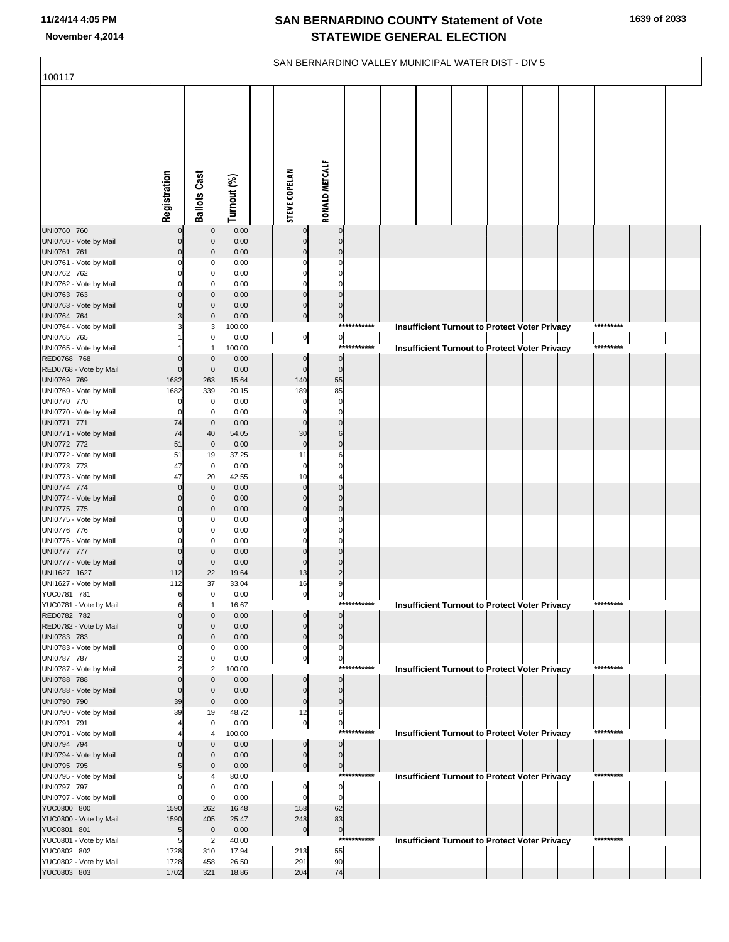|                                       | SAN BERNARDINO VALLEY MUNICIPAL WATER DIST - DIV 5 |                            |                |  |                             |                               |             |  |                                                      |  |  |  |  |           |  |  |
|---------------------------------------|----------------------------------------------------|----------------------------|----------------|--|-----------------------------|-------------------------------|-------------|--|------------------------------------------------------|--|--|--|--|-----------|--|--|
| 100117                                |                                                    |                            |                |  |                             |                               |             |  |                                                      |  |  |  |  |           |  |  |
|                                       | Registration                                       | <b>Ballots Cast</b>        | Turnout (%)    |  | <b>STEVE COPELAN</b>        | <b>RONALD METCALF</b>         |             |  |                                                      |  |  |  |  |           |  |  |
| UNI0760 760                           |                                                    | $\mathbf 0$                | 0.00           |  | $\mathbf 0$                 | $\mathbf 0$                   |             |  |                                                      |  |  |  |  |           |  |  |
| UNI0760 - Vote by Mail<br>UNI0761 761 | $\Omega$                                           | $\mathbf 0$<br>$\mathbf 0$ | 0.00<br>0.00   |  | $\Omega$<br>$\Omega$        | $\mathbf 0$<br>$\Omega$       |             |  |                                                      |  |  |  |  |           |  |  |
| UNI0761 - Vote by Mail                |                                                    | n                          | 0.00           |  |                             |                               |             |  |                                                      |  |  |  |  |           |  |  |
| UNI0762 762                           |                                                    | $\Omega$                   | 0.00           |  | $\Omega$                    | $\Omega$                      |             |  |                                                      |  |  |  |  |           |  |  |
| UNI0762 - Vote by Mail                |                                                    |                            | 0.00           |  | $\Omega$                    | $\Omega$                      |             |  |                                                      |  |  |  |  |           |  |  |
| UNI0763 763<br>UNI0763 - Vote by Mail |                                                    | $\Omega$<br>$\mathbf{0}$   | 0.00<br>0.00   |  | $\mathbf 0$<br>$\mathbf 0$  | $\mathbf 0$<br>$\Omega$       |             |  |                                                      |  |  |  |  |           |  |  |
| UNI0764 764                           | 3                                                  | $\mathbf 0$                | 0.00           |  | $\overline{0}$              | $\overline{0}$                |             |  |                                                      |  |  |  |  |           |  |  |
| UNI0764 - Vote by Mail                |                                                    |                            | 100.00         |  |                             |                               | *********** |  | <b>Insufficient Turnout to Protect Voter Privacy</b> |  |  |  |  | ********* |  |  |
| UNI0765 765                           |                                                    | 0                          | 0.00           |  | 이                           | $\mathbf{0}$                  |             |  |                                                      |  |  |  |  |           |  |  |
| UNI0765 - Vote by Mail                |                                                    |                            | 100.00         |  |                             |                               | *********** |  | <b>Insufficient Turnout to Protect Voter Privacy</b> |  |  |  |  | ********* |  |  |
| RED0768 768<br>RED0768 - Vote by Mail | $\Omega$<br>$\Omega$                               | $\mathbf 0$<br>$\mathbf 0$ | 0.00<br>0.00   |  | $\mathbf 0$<br>$\mathbf 0$  | $\overline{0}$<br>$\mathbf 0$ |             |  |                                                      |  |  |  |  |           |  |  |
| UNI0769 769                           | 1682                                               | 263                        | 15.64          |  | 140                         | 55                            |             |  |                                                      |  |  |  |  |           |  |  |
| UNI0769 - Vote by Mail                | 1682                                               | 339                        | 20.15          |  | 189                         | 85                            |             |  |                                                      |  |  |  |  |           |  |  |
| UNI0770 770                           | $\Omega$                                           | 0                          | 0.00           |  | $\Omega$                    | $\mathbf 0$                   |             |  |                                                      |  |  |  |  |           |  |  |
| UNI0770 - Vote by Mail                | $\mathbf 0$                                        | 0                          | 0.00           |  | $\Omega$                    | $\Omega$                      |             |  |                                                      |  |  |  |  |           |  |  |
| UNI0771 771<br>UNI0771 - Vote by Mail | 74<br>74                                           | $\mathbf 0$<br>40          | 0.00<br>54.05  |  | $\Omega$<br>30              | $\mathbf 0$<br>6              |             |  |                                                      |  |  |  |  |           |  |  |
| UNI0772 772                           | 51                                                 | $\overline{0}$             | 0.00           |  | $\mathbf 0$                 | $\mathbf 0$                   |             |  |                                                      |  |  |  |  |           |  |  |
| UNI0772 - Vote by Mail                | 51                                                 | 19                         | 37.25          |  | 11                          |                               |             |  |                                                      |  |  |  |  |           |  |  |
| UNI0773 773                           | 47                                                 | $\mathbf 0$                | 0.00           |  | $\mathbf 0$                 | $\Omega$                      |             |  |                                                      |  |  |  |  |           |  |  |
| UNI0773 - Vote by Mail                | 47                                                 | 20                         | 42.55          |  | 10                          |                               |             |  |                                                      |  |  |  |  |           |  |  |
| UNI0774 774<br>UNI0774 - Vote by Mail | $\Omega$<br>$\Omega$                               | $\mathbf 0$<br>$\mathbf 0$ | 0.00<br>0.00   |  | $\mathbf 0$<br>$\Omega$     | $\mathbf 0$<br>$\Omega$       |             |  |                                                      |  |  |  |  |           |  |  |
| UNI0775 775                           | $\Omega$                                           | $\mathbf 0$                | 0.00           |  | $\Omega$                    | $\mathbf 0$                   |             |  |                                                      |  |  |  |  |           |  |  |
| UNI0775 - Vote by Mail                |                                                    |                            | 0.00           |  | C                           |                               |             |  |                                                      |  |  |  |  |           |  |  |
| UNI0776 776                           |                                                    | $\Omega$                   | 0.00           |  | $\Omega$                    | $\Omega$                      |             |  |                                                      |  |  |  |  |           |  |  |
| UNI0776 - Vote by Mail                |                                                    |                            | 0.00           |  | C                           | $\Omega$                      |             |  |                                                      |  |  |  |  |           |  |  |
| UNI0777 777<br>UNI0777 - Vote by Mail | $\Omega$<br>$\Omega$                               | $\Omega$<br>$\mathbf 0$    | 0.00<br>0.00   |  | $\Omega$<br>$\Omega$        | $\Omega$<br>$\Omega$          |             |  |                                                      |  |  |  |  |           |  |  |
| UNI1627 1627                          | 112                                                | 22                         | 19.64          |  | 13                          | $\mathfrak{p}$                |             |  |                                                      |  |  |  |  |           |  |  |
| UNI1627 - Vote by Mail                | 112                                                | 37                         | 33.04          |  | 16                          |                               |             |  |                                                      |  |  |  |  |           |  |  |
| YUC0781 781                           |                                                    | 0                          | 0.00           |  | 이                           | 이                             |             |  |                                                      |  |  |  |  |           |  |  |
| YUC0781 - Vote by Mail                | 6                                                  |                            | 16.67          |  |                             |                               | *********** |  | <b>Insufficient Turnout to Protect Voter Privacy</b> |  |  |  |  | ********* |  |  |
| RED0782 782<br>RED0782 - Vote by Mail |                                                    | $\Omega$<br>$\Omega$       | 0.00<br>0.00   |  | $\mathbf 0$<br>$\mathbf{0}$ | $\overline{0}$<br>$\Omega$    |             |  |                                                      |  |  |  |  |           |  |  |
| UNI0783 783                           | $\Omega$                                           | $\Omega$                   | 0.00           |  | $\mathbf{0}$                | $\mathbf{0}$                  |             |  |                                                      |  |  |  |  |           |  |  |
| UNI0783 - Vote by Mail                |                                                    |                            | 0.00           |  | $\mathbf 0$                 | $\Omega$                      |             |  |                                                      |  |  |  |  |           |  |  |
| UNI0787 787                           |                                                    | $\Omega$                   | 0.00           |  | 0                           | 0                             |             |  |                                                      |  |  |  |  |           |  |  |
| UNI0787 - Vote by Mail<br>UNI0788 788 | $\Omega$                                           | $\Omega$                   | 100.00<br>0.00 |  | $\mathbf 0$                 | $\overline{0}$                | *********** |  | <b>Insufficient Turnout to Protect Voter Privacy</b> |  |  |  |  | ********* |  |  |
| UNI0788 - Vote by Mail                | $\Omega$                                           | $\mathbf 0$                | 0.00           |  | $\mathbf 0$                 | $\mathbf 0$                   |             |  |                                                      |  |  |  |  |           |  |  |
| UNI0790 790                           | 39                                                 | $\mathbf 0$                | 0.00           |  | $\mathbf 0$                 | $\mathbf{0}$                  |             |  |                                                      |  |  |  |  |           |  |  |
| UNI0790 - Vote by Mail                | 39                                                 | 19                         | 48.72          |  | 12                          | 6                             |             |  |                                                      |  |  |  |  |           |  |  |
| UNI0791 791                           |                                                    | 0                          | 0.00           |  | $\overline{0}$              | 0                             | *********** |  |                                                      |  |  |  |  | ********* |  |  |
| UNI0791 - Vote by Mail<br>UNI0794 794 |                                                    | $\Omega$                   | 100.00<br>0.00 |  | $\mathbf 0$                 | <sub>0</sub>                  |             |  | <b>Insufficient Turnout to Protect Voter Privacy</b> |  |  |  |  |           |  |  |
| UNI0794 - Vote by Mail                |                                                    | $\Omega$                   | 0.00           |  | $\mathbf 0$                 | $\overline{0}$                |             |  |                                                      |  |  |  |  |           |  |  |
| UNI0795 795                           | 5                                                  | $\mathbf{0}$               | 0.00           |  | $\overline{0}$              | $\overline{0}$                |             |  |                                                      |  |  |  |  |           |  |  |
| UNI0795 - Vote by Mail                |                                                    |                            | 80.00          |  |                             |                               | *********** |  | Insufficient Turnout to Protect Voter Privacy        |  |  |  |  | ********* |  |  |
| UNI0797 797                           | $\Omega$                                           | $\Omega$                   | 0.00           |  | $\mathbf 0$                 | $\overline{0}$                |             |  |                                                      |  |  |  |  |           |  |  |
| UNI0797 - Vote by Mail<br>YUC0800 800 | $\Omega$<br>1590                                   | 262                        | 0.00<br>16.48  |  | O<br>158                    | $\mathbf 0$<br>62             |             |  |                                                      |  |  |  |  |           |  |  |
| YUC0800 - Vote by Mail                | 1590                                               | 405                        | 25.47          |  | 248                         | 83                            |             |  |                                                      |  |  |  |  |           |  |  |
| YUC0801 801                           | 5                                                  | $\mathbf 0$                | 0.00           |  | $\mathbf 0$                 | $\overline{0}$                |             |  |                                                      |  |  |  |  |           |  |  |
| YUC0801 - Vote by Mail                | 5                                                  |                            | 40.00          |  |                             |                               | *********** |  | <b>Insufficient Turnout to Protect Voter Privacy</b> |  |  |  |  | ********* |  |  |
| YUC0802 802                           | 1728                                               | 310                        | 17.94          |  | 213                         | 55                            |             |  |                                                      |  |  |  |  |           |  |  |
| YUC0802 - Vote by Mail<br>YUC0803 803 | 1728<br>1702                                       | 458<br>321                 | 26.50<br>18.86 |  | 291<br>204                  | 90<br>74                      |             |  |                                                      |  |  |  |  |           |  |  |
|                                       |                                                    |                            |                |  |                             |                               |             |  |                                                      |  |  |  |  |           |  |  |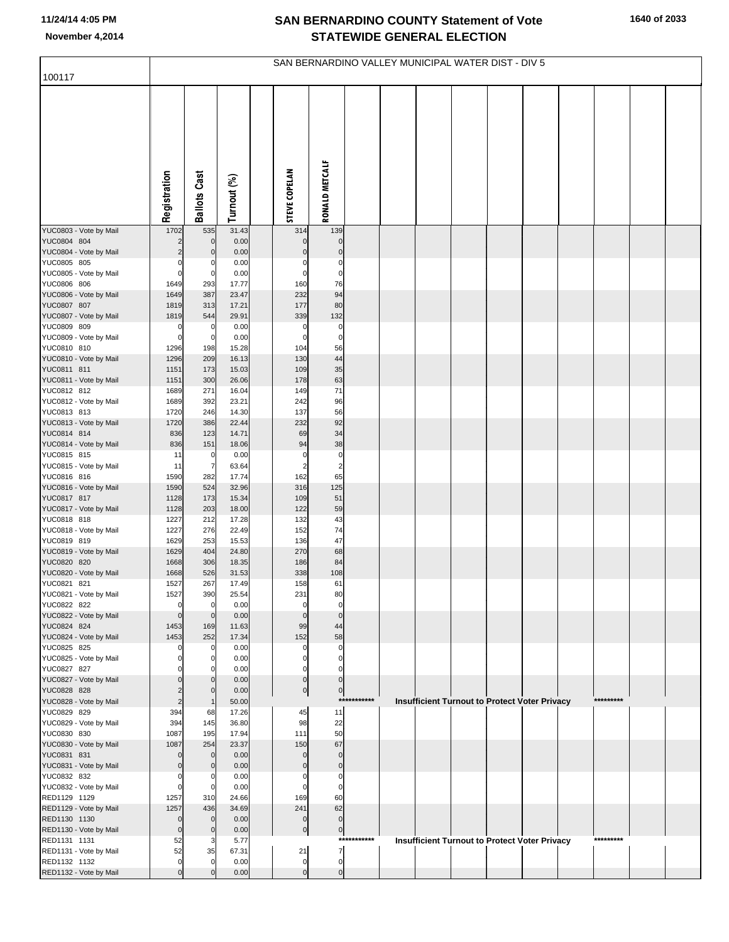|                                        | SAN BERNARDINO VALLEY MUNICIPAL WATER DIST - DIV 5 |                            |                |  |                             |                                      |             |  |  |  |                                                      |  |  |           |  |
|----------------------------------------|----------------------------------------------------|----------------------------|----------------|--|-----------------------------|--------------------------------------|-------------|--|--|--|------------------------------------------------------|--|--|-----------|--|
| 100117                                 |                                                    |                            |                |  |                             |                                      |             |  |  |  |                                                      |  |  |           |  |
|                                        | Registration                                       | <b>Ballots Cast</b>        | Turnout (%)    |  | <b>STEVE COPELAN</b>        | RONALD METCALF                       |             |  |  |  |                                                      |  |  |           |  |
| YUC0803 - Vote by Mail                 | 1702                                               | 535                        | 31.43          |  | 314                         | 139                                  |             |  |  |  |                                                      |  |  |           |  |
| YUC0804 804                            | 2                                                  | $\mathbf 0$                | 0.00           |  | $\mathbf 0$                 | $\mathbf 0$<br>$\mathbf 0$           |             |  |  |  |                                                      |  |  |           |  |
| YUC0804 - Vote by Mail<br>YUC0805 805  | 0                                                  | $\mathbf 0$<br>0           | 0.00<br>0.00   |  | $\mathbf 0$<br>0            | 0                                    |             |  |  |  |                                                      |  |  |           |  |
| YUC0805 - Vote by Mail                 | $\Omega$                                           | 0                          | 0.00           |  | $\mathbf 0$                 | $\pmb{0}$                            |             |  |  |  |                                                      |  |  |           |  |
| YUC0806 806                            | 1649                                               | 293                        | 17.77          |  | 160                         | 76                                   |             |  |  |  |                                                      |  |  |           |  |
| YUC0806 - Vote by Mail<br>YUC0807 807  | 1649<br>1819                                       | 387<br>313                 | 23.47<br>17.21 |  | 232<br>177                  | 94<br>80                             |             |  |  |  |                                                      |  |  |           |  |
| YUC0807 - Vote by Mail                 | 1819                                               | 544                        | 29.91          |  | 339                         | 132                                  |             |  |  |  |                                                      |  |  |           |  |
| YUC0809 809                            | 0                                                  | 0                          | 0.00           |  | $\mathbf 0$                 | 0                                    |             |  |  |  |                                                      |  |  |           |  |
| YUC0809 - Vote by Mail                 | $\mathbf 0$                                        | 0                          | 0.00           |  | $\mathbf 0$                 | $\pmb{0}$                            |             |  |  |  |                                                      |  |  |           |  |
| YUC0810 810<br>YUC0810 - Vote by Mail  | 1296<br>1296                                       | 198<br>209                 | 15.28<br>16.13 |  | 104<br>130                  | 56<br>44                             |             |  |  |  |                                                      |  |  |           |  |
| YUC0811 811                            | 1151                                               | 173                        | 15.03          |  | 109                         | 35                                   |             |  |  |  |                                                      |  |  |           |  |
| YUC0811 - Vote by Mail                 | 1151                                               | 300                        | 26.06          |  | 178                         | 63                                   |             |  |  |  |                                                      |  |  |           |  |
| YUC0812 812                            | 1689                                               | 271                        | 16.04          |  | 149                         | 71                                   |             |  |  |  |                                                      |  |  |           |  |
| YUC0812 - Vote by Mail<br>YUC0813 813  | 1689                                               | 392                        | 23.21<br>14.30 |  | 242<br>137                  | 96<br>56                             |             |  |  |  |                                                      |  |  |           |  |
| YUC0813 - Vote by Mail                 | 1720<br>1720                                       | 246<br>386                 | 22.44          |  | 232                         | 92                                   |             |  |  |  |                                                      |  |  |           |  |
| YUC0814 814                            | 836                                                | 123                        | 14.71          |  | 69                          | 34                                   |             |  |  |  |                                                      |  |  |           |  |
| YUC0814 - Vote by Mail                 | 836                                                | 151                        | 18.06          |  | 94                          | 38                                   |             |  |  |  |                                                      |  |  |           |  |
| YUC0815 815<br>YUC0815 - Vote by Mail  | 11<br>11                                           | 0<br>7                     | 0.00<br>63.64  |  | $\pmb{0}$<br>$\overline{2}$ | $\pmb{0}$<br>$\overline{\mathbf{c}}$ |             |  |  |  |                                                      |  |  |           |  |
| YUC0816 816                            | 1590                                               | 282                        | 17.74          |  | 162                         | 65                                   |             |  |  |  |                                                      |  |  |           |  |
| YUC0816 - Vote by Mail                 | 1590                                               | 524                        | 32.96          |  | 316                         | 125                                  |             |  |  |  |                                                      |  |  |           |  |
| YUC0817 817                            | 1128                                               | 173                        | 15.34          |  | 109                         | 51                                   |             |  |  |  |                                                      |  |  |           |  |
| YUC0817 - Vote by Mail<br>YUC0818 818  | 1128<br>1227                                       | 203<br>212                 | 18.00<br>17.28 |  | 122<br>132                  | 59<br>43                             |             |  |  |  |                                                      |  |  |           |  |
| YUC0818 - Vote by Mail                 | 1227                                               | 276                        | 22.49          |  | 152                         | 74                                   |             |  |  |  |                                                      |  |  |           |  |
| YUC0819 819                            | 1629                                               | 253                        | 15.53          |  | 136                         | 47                                   |             |  |  |  |                                                      |  |  |           |  |
| YUC0819 - Vote by Mail                 | 1629                                               | 404                        | 24.80          |  | 270                         | 68                                   |             |  |  |  |                                                      |  |  |           |  |
| YUC0820 820<br>YUC0820 - Vote by Mail  | 1668<br>1668                                       | 306<br>526                 | 18.35<br>31.53 |  | 186<br>338                  | 84<br>108                            |             |  |  |  |                                                      |  |  |           |  |
| YUC0821 821                            | 1527                                               | 267                        | 17.49          |  | 158                         | 61                                   |             |  |  |  |                                                      |  |  |           |  |
| YUC0821 - Vote by Mail                 | 1527                                               | 390                        | 25.54          |  | 231                         | 80                                   |             |  |  |  |                                                      |  |  |           |  |
| YUC0822 822                            | 0                                                  | $\mathbf 0$                | 0.00           |  | 0                           | 0                                    |             |  |  |  |                                                      |  |  |           |  |
| YUC0822 - Vote by Mail<br>YUC0824 824  | $\mathbf 0$<br>1453                                | $\mathbf 0$<br>169         | 0.00<br>11.63  |  | $\pmb{0}$<br>99             | $\mathbf{0}$<br>44                   |             |  |  |  |                                                      |  |  |           |  |
| YUC0824 - Vote by Mail                 | 1453                                               | 252                        | 17.34          |  | 152                         | 58                                   |             |  |  |  |                                                      |  |  |           |  |
| YUC0825 825                            | 0                                                  | 0                          | 0.00           |  | $\mathbf 0$                 | 0                                    |             |  |  |  |                                                      |  |  |           |  |
| YUC0825 - Vote by Mail<br>YUC0827 827  | 0                                                  | 0<br>0                     | 0.00<br>0.00   |  | 0<br>$\mathbf 0$            | $\mathbf 0$<br>$\Omega$              |             |  |  |  |                                                      |  |  |           |  |
| YUC0827 - Vote by Mail                 | $\Omega$                                           | $\mathbf 0$                | 0.00           |  | $\overline{0}$              | $\mathbf 0$                          |             |  |  |  |                                                      |  |  |           |  |
| YUC0828 828                            | $\overline{2}$                                     | $\mathbf 0$                | 0.00           |  | $\overline{0}$              | $\boldsymbol{0}$                     |             |  |  |  |                                                      |  |  |           |  |
| YUC0828 - Vote by Mail                 | $\overline{2}$                                     | $\mathbf 1$                | 50.00          |  |                             |                                      | *********** |  |  |  | <b>Insufficient Turnout to Protect Voter Privacy</b> |  |  | ********* |  |
| YUC0829 829<br>YUC0829 - Vote by Mail  | 394<br>394                                         | 68<br>145                  | 17.26<br>36.80 |  | 45<br>98                    | 11<br>22                             |             |  |  |  |                                                      |  |  |           |  |
| YUC0830 830                            | 1087                                               | 195                        | 17.94          |  | 111                         | 50                                   |             |  |  |  |                                                      |  |  |           |  |
| YUC0830 - Vote by Mail                 | 1087                                               | 254                        | 23.37          |  | 150                         | 67                                   |             |  |  |  |                                                      |  |  |           |  |
| YUC0831 831                            | $\mathbf 0$                                        | $\mathbf 0$                | 0.00           |  | $\mathbf 0$                 | $\mathbf 0$                          |             |  |  |  |                                                      |  |  |           |  |
| YUC0831 - Vote by Mail<br>YUC0832 832  | $\Omega$<br>$\mathbf 0$                            | $\mathbf 0$<br>0           | 0.00<br>0.00   |  | $\pmb{0}$<br>$\mathbf 0$    | $\mathbf 0$<br>0                     |             |  |  |  |                                                      |  |  |           |  |
| YUC0832 - Vote by Mail                 | $\mathbf 0$                                        | 0                          | 0.00           |  | $\mathbf 0$                 | $\mathbf 0$                          |             |  |  |  |                                                      |  |  |           |  |
| RED1129 1129                           | 1257                                               | 310                        | 24.66          |  | 169                         | 60                                   |             |  |  |  |                                                      |  |  |           |  |
| RED1129 - Vote by Mail                 | 1257                                               | 436                        | 34.69          |  | 241                         | 62                                   |             |  |  |  |                                                      |  |  |           |  |
| RED1130 1130<br>RED1130 - Vote by Mail | $\mathbf 0$<br>$\overline{0}$                      | $\mathbf 0$<br>$\mathbf 0$ | 0.00<br>0.00   |  | $\pmb{0}$<br>$\overline{0}$ | $\mathbf 0$                          |             |  |  |  |                                                      |  |  |           |  |
| RED1131 1131                           | 52                                                 | 3                          | 5.77           |  |                             | $\mathbf 0$                          | *********** |  |  |  | <b>Insufficient Turnout to Protect Voter Privacy</b> |  |  | ********* |  |
| RED1131 - Vote by Mail                 | 52                                                 | 35                         | 67.31          |  | 21                          | $\overline{7}$                       |             |  |  |  |                                                      |  |  |           |  |
| RED1132 1132                           | $\mathbf 0$                                        | $\Omega$                   | 0.00           |  | $\mathbf 0$                 | $\mathbf 0$                          |             |  |  |  |                                                      |  |  |           |  |
| RED1132 - Vote by Mail                 | $\Omega$                                           | $\Omega$                   | 0.00           |  | $\overline{0}$              | $\mathbf{0}$                         |             |  |  |  |                                                      |  |  |           |  |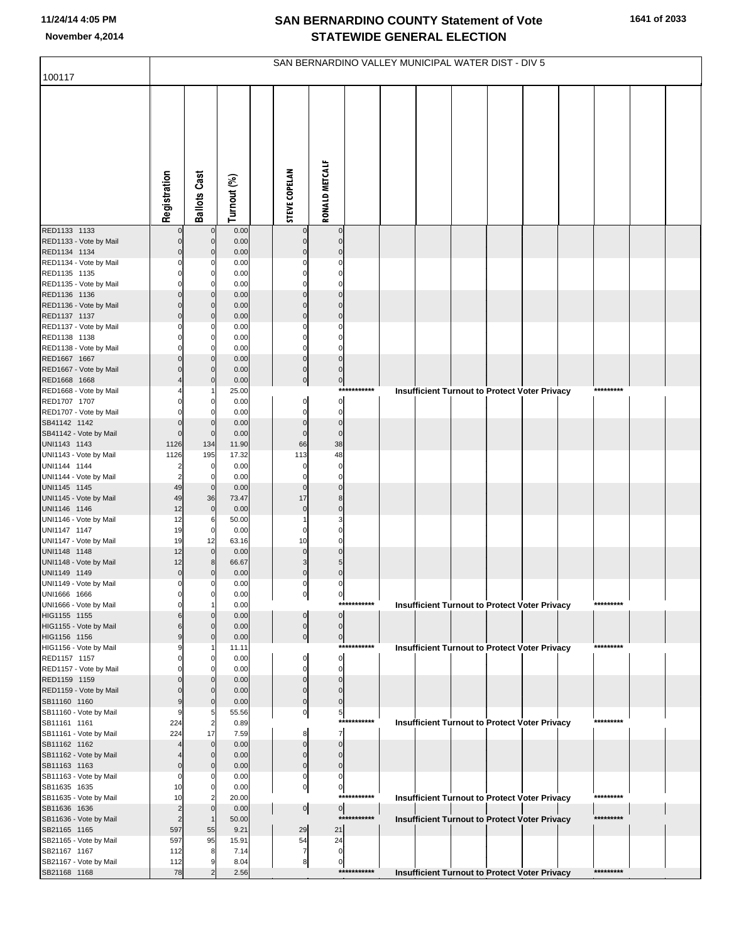|                                        | SAN BERNARDINO VALLEY MUNICIPAL WATER DIST - DIV 5 |                               |               |  |                          |                               |             |  |                                                      |  |  |  |  |           |  |
|----------------------------------------|----------------------------------------------------|-------------------------------|---------------|--|--------------------------|-------------------------------|-------------|--|------------------------------------------------------|--|--|--|--|-----------|--|
| 100117                                 |                                                    |                               |               |  |                          |                               |             |  |                                                      |  |  |  |  |           |  |
|                                        | Registration                                       | <b>Ballots Cast</b>           | Turnout (%)   |  | <b>STEVE COPELAN</b>     | RONALD METCALF                |             |  |                                                      |  |  |  |  |           |  |
| RED1133 1133                           |                                                    | $\pmb{0}$                     | 0.00          |  |                          | $\pmb{0}$                     |             |  |                                                      |  |  |  |  |           |  |
| RED1133 - Vote by Mail<br>RED1134 1134 |                                                    | $\mathbf 0$<br>$\Omega$       | 0.00<br>0.00  |  | $\Omega$                 | $\mathbf 0$<br>$\mathbf 0$    |             |  |                                                      |  |  |  |  |           |  |
| RED1134 - Vote by Mail                 |                                                    | C                             | 0.00          |  |                          | 0                             |             |  |                                                      |  |  |  |  |           |  |
| RED1135 1135                           |                                                    | 0                             | 0.00          |  |                          | $\mathbf 0$                   |             |  |                                                      |  |  |  |  |           |  |
| RED1135 - Vote by Mail                 |                                                    | $\Omega$                      | 0.00          |  |                          | 0                             |             |  |                                                      |  |  |  |  |           |  |
| RED1136 1136<br>RED1136 - Vote by Mail |                                                    | $\Omega$<br>$\mathbf 0$       | 0.00<br>0.00  |  | $\Omega$<br>$\mathbf 0$  | $\mathbf 0$<br>$\mathbf 0$    |             |  |                                                      |  |  |  |  |           |  |
| RED1137 1137                           | በ                                                  | $\Omega$                      | 0.00          |  | $\mathbf 0$              | $\mathbf{0}$                  |             |  |                                                      |  |  |  |  |           |  |
| RED1137 - Vote by Mail                 |                                                    | $\mathbf 0$                   | 0.00          |  |                          | 0                             |             |  |                                                      |  |  |  |  |           |  |
| RED1138 1138                           |                                                    | $\mathbf 0$                   | 0.00          |  | $\Omega$                 | $\mathbf 0$                   |             |  |                                                      |  |  |  |  |           |  |
| RED1138 - Vote by Mail                 |                                                    | O                             | 0.00          |  | n                        | $\mathbf 0$                   |             |  |                                                      |  |  |  |  |           |  |
| RED1667 1667<br>RED1667 - Vote by Mail |                                                    | $\Omega$<br>$\Omega$          | 0.00<br>0.00  |  | $\pmb{0}$<br>$\pmb{0}$   | $\pmb{0}$<br>$\mathbf 0$      |             |  |                                                      |  |  |  |  |           |  |
| RED1668 1668                           |                                                    | $\Omega$                      | 0.00          |  | $\mathbf 0$              | $\overline{0}$                |             |  |                                                      |  |  |  |  |           |  |
| RED1668 - Vote by Mail                 |                                                    |                               | 25.00         |  |                          | $***$                         | *******     |  | <b>Insufficient Turnout to Protect Voter Privacy</b> |  |  |  |  | ********* |  |
| RED1707 1707                           |                                                    | $\Omega$                      | 0.00          |  | $\pmb{0}$                | $\mathbf{0}$                  |             |  |                                                      |  |  |  |  |           |  |
| RED1707 - Vote by Mail                 |                                                    | $\Omega$                      | 0.00          |  | $\Omega$                 | $\bf{0}$<br>$\pmb{0}$         |             |  |                                                      |  |  |  |  |           |  |
| SB41142 1142<br>SB41142 - Vote by Mail | $\Omega$                                           | $\mathbf 0$<br>$\mathbf 0$    | 0.00<br>0.00  |  | $\pmb{0}$<br>$\pmb{0}$   | $\pmb{0}$                     |             |  |                                                      |  |  |  |  |           |  |
| UNI1143 1143                           | 1126                                               | 134                           | 11.90         |  | 66                       | 38                            |             |  |                                                      |  |  |  |  |           |  |
| UNI1143 - Vote by Mail                 | 1126                                               | 195                           | 17.32         |  | 113                      | 48                            |             |  |                                                      |  |  |  |  |           |  |
| UNI1144 1144                           | 2                                                  | 0                             | 0.00          |  | $\Omega$                 | $\bf{0}$                      |             |  |                                                      |  |  |  |  |           |  |
| UNI1144 - Vote by Mail<br>UNI1145 1145 | 2<br>49                                            | $\mathbf 0$<br>$\mathbf 0$    | 0.00<br>0.00  |  | $\Omega$<br>$\pmb{0}$    | 0<br>$\mathbf 0$              |             |  |                                                      |  |  |  |  |           |  |
| UNI1145 - Vote by Mail                 | 49                                                 | 36                            | 73.47         |  | 17                       | 8                             |             |  |                                                      |  |  |  |  |           |  |
| UNI1146 1146                           | 12                                                 | $\mathbf 0$                   | 0.00          |  | $\pmb{0}$                | $\pmb{0}$                     |             |  |                                                      |  |  |  |  |           |  |
| UNI1146 - Vote by Mail                 | 12                                                 | 6                             | 50.00         |  |                          | 3                             |             |  |                                                      |  |  |  |  |           |  |
| UNI1147 1147<br>UNI1147 - Vote by Mail | 19<br>19                                           | $\mathbf 0$<br>12             | 0.00<br>63.16 |  | $\Omega$<br>10           | $\mathbf 0$<br>$\mathbf 0$    |             |  |                                                      |  |  |  |  |           |  |
| UNI1148 1148                           | 12                                                 | $\mathbf{0}$                  | 0.00          |  | $\mathbf 0$              | $\mathbf 0$                   |             |  |                                                      |  |  |  |  |           |  |
| UNI1148 - Vote by Mail                 | 12                                                 | 8                             | 66.67         |  | 3                        | 5                             |             |  |                                                      |  |  |  |  |           |  |
| UNI1149 1149                           | $\mathbf 0$                                        | $\Omega$                      | 0.00          |  | $\pmb{0}$                | $\mathbf{0}$                  |             |  |                                                      |  |  |  |  |           |  |
| UNI1149 - Vote by Mail                 | 0                                                  | $\Omega$                      | 0.00          |  | 0                        | 0                             |             |  |                                                      |  |  |  |  |           |  |
| UNI1666 1666<br>UNI1666 - Vote by Mail |                                                    | $\mathbf 0$<br>$\overline{1}$ | 0.00<br>0.00  |  | 이                        | $\overline{0}$                | *********** |  | <b>Insufficient Turnout to Protect Voter Privacy</b> |  |  |  |  | ********* |  |
| HIG1155 1155                           |                                                    | $\Omega$                      | 0.00          |  | 0                        | $\overline{0}$                |             |  |                                                      |  |  |  |  |           |  |
| HIG1155 - Vote by Mail                 |                                                    | $\Omega$                      | 0.00          |  | $\pmb{0}$                | $\overline{0}$                |             |  |                                                      |  |  |  |  |           |  |
| HIG1156 1156                           | g                                                  | $\mathbf 0$                   | 0.00          |  | $\mathbf 0$              | $\overline{0}$                | *********** |  |                                                      |  |  |  |  | ********* |  |
| HIG1156 - Vote by Mail<br>RED1157 1157 |                                                    | $\mathbf 0$                   | 11.11<br>0.00 |  | $\Omega$                 | $\circ$                       |             |  | <b>Insufficient Turnout to Protect Voter Privacy</b> |  |  |  |  |           |  |
| RED1157 - Vote by Mail                 |                                                    | C                             | 0.00          |  | $\Omega$                 | 0                             |             |  |                                                      |  |  |  |  |           |  |
| RED1159 1159                           |                                                    | $\Omega$                      | 0.00          |  | $\Omega$                 | $\mathbf 0$                   |             |  |                                                      |  |  |  |  |           |  |
| RED1159 - Vote by Mail                 |                                                    | $\Omega$                      | 0.00          |  | $\mathbf 0$              | $\mathbf 0$                   |             |  |                                                      |  |  |  |  |           |  |
| SB11160 1160<br>SB11160 - Vote by Mail | g                                                  | $\mathbf 0$<br>5              | 0.00<br>55.56 |  | $\mathbf 0$<br>0         | $\mathbf 0$<br>$\overline{5}$ |             |  |                                                      |  |  |  |  |           |  |
| SB11161 1161                           | 224                                                | $\overline{2}$                | 0.89          |  |                          |                               | *********** |  | Insufficient Turnout to Protect Voter Privacy        |  |  |  |  | ********* |  |
| SB11161 - Vote by Mail                 | 224                                                | 17                            | 7.59          |  | 8                        | $\overline{7}$                |             |  |                                                      |  |  |  |  |           |  |
| SB11162 1162                           |                                                    | $\mathbf 0$                   | 0.00          |  | $\mathbf 0$              | $\mathbf 0$                   |             |  |                                                      |  |  |  |  |           |  |
| SB11162 - Vote by Mail<br>SB11163 1163 | $\Omega$                                           | $\mathbf 0$<br>$\mathbf 0$    | 0.00<br>0.00  |  | $\mathbf 0$<br>$\pmb{0}$ | $\mathbf 0$<br>$\bf{0}$       |             |  |                                                      |  |  |  |  |           |  |
| SB11163 - Vote by Mail                 | O                                                  | C                             | 0.00          |  | 0                        | 0                             |             |  |                                                      |  |  |  |  |           |  |
| SB11635 1635                           | 10                                                 | 0                             | 0.00          |  | 0                        | 0                             |             |  |                                                      |  |  |  |  |           |  |
| SB11635 - Vote by Mail                 | 10                                                 | $\overline{c}$                | 20.00         |  |                          |                               | *********** |  | Insufficient Turnout to Protect Voter Privacy        |  |  |  |  | ********* |  |
| SB11636 1636                           | $\overline{2}$                                     | $\mathbf 0$                   | 0.00          |  | $\mathbf 0$              | $\overline{0}$                | *********** |  |                                                      |  |  |  |  | ********* |  |
| SB11636 - Vote by Mail<br>SB21165 1165 | $\overline{2}$<br>597                              | $\mathbf 1$<br>55             | 50.00<br>9.21 |  | 29                       | 21                            |             |  | <b>Insufficient Turnout to Protect Voter Privacy</b> |  |  |  |  |           |  |
| SB21165 - Vote by Mail                 | 597                                                | 95                            | 15.91         |  | 54                       | 24                            |             |  |                                                      |  |  |  |  |           |  |
| SB21167 1167                           | 112                                                | 8                             | 7.14          |  | 7                        | $\pmb{0}$                     |             |  |                                                      |  |  |  |  |           |  |
| SB21167 - Vote by Mail                 | 112                                                | c                             | 8.04          |  | 8                        | 0                             |             |  |                                                      |  |  |  |  |           |  |
| SB21168 1168                           | 78                                                 | 2                             | 2.56          |  |                          |                               | *********** |  | <b>Insufficient Turnout to Protect Voter Privacy</b> |  |  |  |  | ********* |  |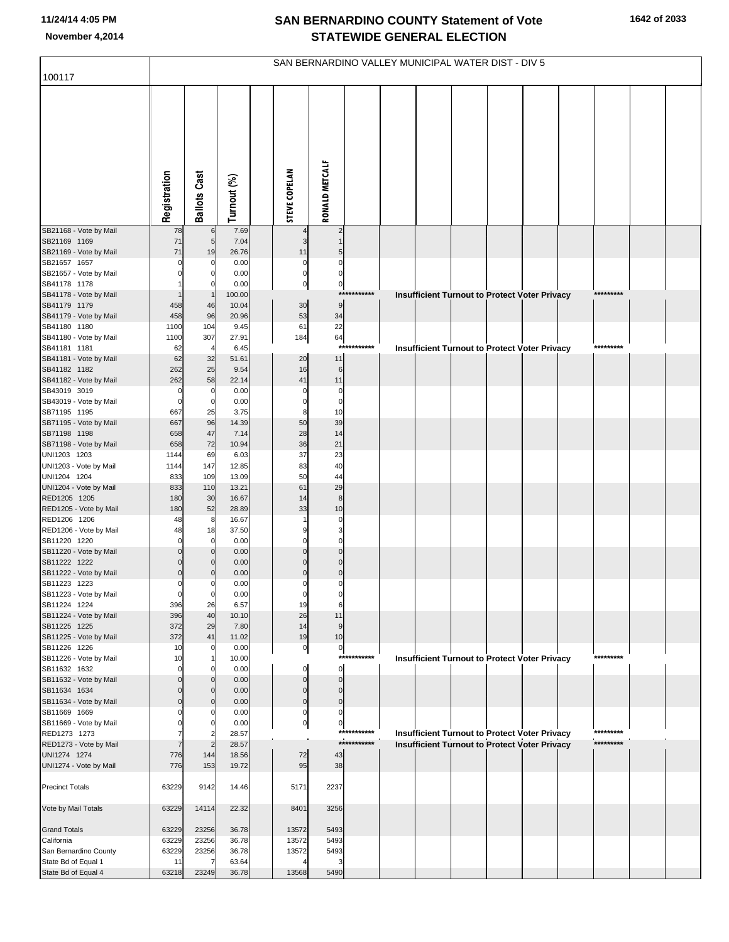|                                              | SAN BERNARDINO VALLEY MUNICIPAL WATER DIST - DIV 5 |                     |                 |                          |                             |                             |  |                                                      |  |  |  |  |                        |  |  |
|----------------------------------------------|----------------------------------------------------|---------------------|-----------------|--------------------------|-----------------------------|-----------------------------|--|------------------------------------------------------|--|--|--|--|------------------------|--|--|
| 100117                                       |                                                    |                     |                 |                          |                             |                             |  |                                                      |  |  |  |  |                        |  |  |
|                                              | Registration                                       | <b>Ballots Cast</b> | Turnout (%)     | <b>STEVE COPELAN</b>     | RONALD METCALF              |                             |  |                                                      |  |  |  |  |                        |  |  |
| SB21168 - Vote by Mail                       | 78                                                 | 6                   | 7.69            |                          | 2                           |                             |  |                                                      |  |  |  |  |                        |  |  |
| SB21169 1169<br>SB21169 - Vote by Mail       | 71<br>71                                           | 5<br>19             | 7.04<br>26.76   | 11                       |                             |                             |  |                                                      |  |  |  |  |                        |  |  |
| SB21657 1657                                 | $\Omega$                                           | 0                   | 0.00            | $\mathbf 0$              | $\Omega$                    |                             |  |                                                      |  |  |  |  |                        |  |  |
| SB21657 - Vote by Mail                       |                                                    | n                   | 0.00            | $\mathbf 0$              | $\Omega$                    |                             |  |                                                      |  |  |  |  |                        |  |  |
| SB41178 1178                                 |                                                    |                     | 0.00            | $\mathbf{0}$             | $\overline{0}$              |                             |  |                                                      |  |  |  |  |                        |  |  |
| SB41178 - Vote by Mail<br>SB41179 1179       | 458                                                | 46                  | 100.00<br>10.04 | 30                       | 9                           | ***********                 |  | Insufficient Turnout to Protect Voter Privacy        |  |  |  |  | *********              |  |  |
| SB41179 - Vote by Mail                       | 458                                                | 96                  | 20.96           | 53                       | 34                          |                             |  |                                                      |  |  |  |  |                        |  |  |
| SB41180 1180                                 | 1100                                               | 104                 | 9.45            | 61                       | 22                          |                             |  |                                                      |  |  |  |  |                        |  |  |
| SB41180 - Vote by Mail                       | 1100                                               | 307                 | 27.91           | 184                      | 64                          |                             |  |                                                      |  |  |  |  |                        |  |  |
| SB41181 1181                                 | 62                                                 | $\overline{4}$      | 6.45            |                          | $***$                       | *******                     |  | <b>Insufficient Turnout to Protect Voter Privacy</b> |  |  |  |  | *********              |  |  |
| SB41181 - Vote by Mail<br>SB41182 1182       | 62<br>262                                          | 32<br>25            | 51.61<br>9.54   | 20<br>16                 | 11<br>6                     |                             |  |                                                      |  |  |  |  |                        |  |  |
| SB41182 - Vote by Mail                       | 262                                                | 58                  | 22.14           | 41                       | 11                          |                             |  |                                                      |  |  |  |  |                        |  |  |
| SB43019 3019                                 | 0                                                  | 0                   | 0.00            | $\Omega$                 | $\mathbf 0$                 |                             |  |                                                      |  |  |  |  |                        |  |  |
| SB43019 - Vote by Mail                       | $\Omega$                                           | 0                   | 0.00            | $\Omega$                 | $\mathbf 0$                 |                             |  |                                                      |  |  |  |  |                        |  |  |
| SB71195 1195                                 | 667                                                | 25                  | 3.75            | 8<br>50                  | 10<br>39                    |                             |  |                                                      |  |  |  |  |                        |  |  |
| SB71195 - Vote by Mail<br>SB71198 1198       | 667<br>658                                         | 96<br>47            | 14.39<br>7.14   | 28                       | 14                          |                             |  |                                                      |  |  |  |  |                        |  |  |
| SB71198 - Vote by Mail                       | 658                                                | 72                  | 10.94           | 36                       | 21                          |                             |  |                                                      |  |  |  |  |                        |  |  |
| UNI1203 1203                                 | 1144                                               | 69                  | 6.03            | 37                       | 23                          |                             |  |                                                      |  |  |  |  |                        |  |  |
| UNI1203 - Vote by Mail                       | 1144                                               | 147                 | 12.85           | 83                       | 40                          |                             |  |                                                      |  |  |  |  |                        |  |  |
| UNI1204 1204<br>UNI1204 - Vote by Mail       | 833<br>833                                         | 109<br>110          | 13.09<br>13.21  | 50<br>61                 | 44<br>29                    |                             |  |                                                      |  |  |  |  |                        |  |  |
| RED1205 1205                                 | 180                                                | 30                  | 16.67           | 14                       | $\bf8$                      |                             |  |                                                      |  |  |  |  |                        |  |  |
| RED1205 - Vote by Mail                       | 180                                                | 52                  | 28.89           | 33                       | 10                          |                             |  |                                                      |  |  |  |  |                        |  |  |
| RED1206 1206                                 | 48                                                 | 8                   | 16.67           |                          | 0                           |                             |  |                                                      |  |  |  |  |                        |  |  |
| RED1206 - Vote by Mail<br>SB11220 1220       | 48<br>0                                            | 18<br>0             | 37.50<br>0.00   | $\Omega$                 | $\Omega$                    |                             |  |                                                      |  |  |  |  |                        |  |  |
| SB11220 - Vote by Mail                       | $\Omega$                                           | $\Omega$            | 0.00            | $\Omega$                 | $\mathbf{0}$                |                             |  |                                                      |  |  |  |  |                        |  |  |
| SB11222 1222                                 | 0                                                  |                     | 0.00            | $\Omega$                 | $\mathbf 0$                 |                             |  |                                                      |  |  |  |  |                        |  |  |
| SB11222 - Vote by Mail                       | $\mathbf 0$                                        |                     | 0.00            | $\Omega$                 | $\pmb{0}$                   |                             |  |                                                      |  |  |  |  |                        |  |  |
| SB11223 1223<br>SB11223 - Vote by Mail       | 0<br>$\mathbf 0$                                   | 0<br>0              | 0.00<br>0.00    | $\Omega$<br>$\mathbf 0$  | 0<br>0                      |                             |  |                                                      |  |  |  |  |                        |  |  |
| SB11224 1224                                 | 396                                                | 26                  | 6.57            | 19                       | 6                           |                             |  |                                                      |  |  |  |  |                        |  |  |
| SB11224 - Vote by Mail                       | 396                                                | 40                  | 10.10           | 26                       | 11                          |                             |  |                                                      |  |  |  |  |                        |  |  |
| SB11225 1225                                 | 372                                                | 29                  | 7.80            | 14                       | 9                           |                             |  |                                                      |  |  |  |  |                        |  |  |
| SB11225 - Vote by Mail<br>SB11226 1226       | 372<br>10                                          | 41<br>0             | 11.02<br>0.00   | 19<br>$\overline{0}$     | 10<br>$\overline{0}$        |                             |  |                                                      |  |  |  |  |                        |  |  |
| SB11226 - Vote by Mail                       | 10                                                 |                     | 10.00           |                          |                             | ***********                 |  | Insufficient Turnout to Protect Voter Privacy        |  |  |  |  | *********              |  |  |
| SB11632 1632                                 | O                                                  |                     | 0.00            | 0                        | $\overline{0}$              |                             |  |                                                      |  |  |  |  |                        |  |  |
| SB11632 - Vote by Mail                       | $\Omega$                                           |                     | 0.00            | $\pmb{0}$                | $\overline{0}$              |                             |  |                                                      |  |  |  |  |                        |  |  |
| SB11634 1634<br>SB11634 - Vote by Mail       | C<br>$\Omega$                                      | O<br>$\Omega$       | 0.00<br>0.00    | $\mathbf 0$<br>$\pmb{0}$ | $\overline{0}$<br>$\pmb{0}$ |                             |  |                                                      |  |  |  |  |                        |  |  |
| SB11669 1669                                 |                                                    |                     | 0.00            | $\mathbf 0$              | 0                           |                             |  |                                                      |  |  |  |  |                        |  |  |
| SB11669 - Vote by Mail                       |                                                    |                     | 0.00            | $\mathbf{0}$             | 0                           |                             |  |                                                      |  |  |  |  |                        |  |  |
| RED1273 1273                                 |                                                    |                     | 28.57           |                          |                             | ************<br>*********** |  | <b>Insufficient Turnout to Protect Voter Privacy</b> |  |  |  |  | *********<br>********* |  |  |
| RED1273 - Vote by Mail<br>UNI1274 1274       | 776                                                | 144                 | 28.57<br>18.56  |                          | 43                          |                             |  | <b>Insufficient Turnout to Protect Voter Privacy</b> |  |  |  |  |                        |  |  |
| UNI1274 - Vote by Mail                       | 776                                                | 153                 | 19.72           | 72<br>95                 | 38                          |                             |  |                                                      |  |  |  |  |                        |  |  |
| <b>Precinct Totals</b>                       | 63229                                              | 9142                | 14.46           | 5171                     | 2237                        |                             |  |                                                      |  |  |  |  |                        |  |  |
| Vote by Mail Totals                          | 63229                                              | 14114               | 22.32           | 8401                     | 3256                        |                             |  |                                                      |  |  |  |  |                        |  |  |
| <b>Grand Totals</b>                          | 63229                                              | 23256               | 36.78           | 13572                    | 5493                        |                             |  |                                                      |  |  |  |  |                        |  |  |
| California                                   | 63229                                              | 23256               | 36.78           | 13572                    | 5493                        |                             |  |                                                      |  |  |  |  |                        |  |  |
| San Bernardino County<br>State Bd of Equal 1 | 63229<br>11                                        | 23256               | 36.78<br>63.64  | 13572                    | 5493<br>3                   |                             |  |                                                      |  |  |  |  |                        |  |  |
| State Bd of Equal 4                          | 63218                                              | 23249               | 36.78           | 13568                    | 5490                        |                             |  |                                                      |  |  |  |  |                        |  |  |